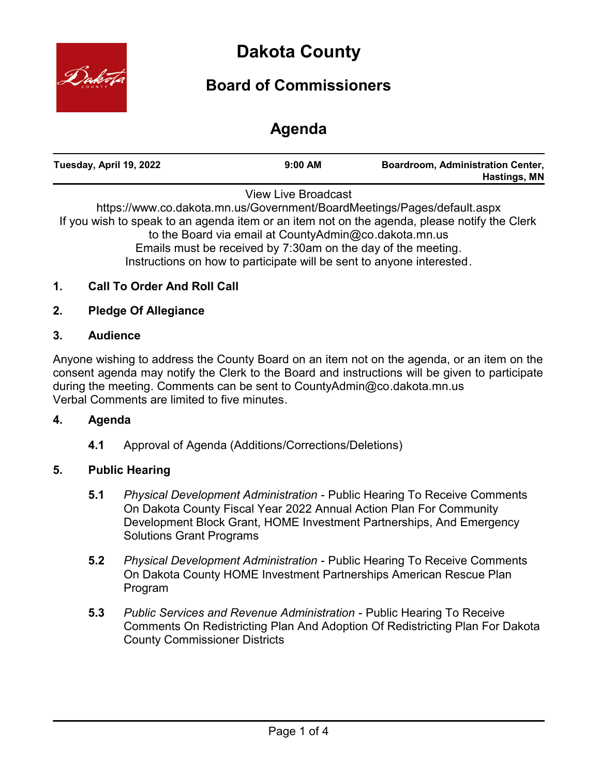

# **Dakota County**

## **Board of Commissioners**

## **Agenda**

| Tuesday, April 19, 2022                                                | $9:00$ AM                  | <b>Boardroom, Administration Center,</b><br>Hastings, MN |
|------------------------------------------------------------------------|----------------------------|----------------------------------------------------------|
| https://www.co.dakota.mn.us/Government/BoardMeetings/Dages/default.com | <b>View Live Broadcast</b> |                                                          |

:://www.co.dakota.mn.us/Government/BoardMeetings/Pages/default.aspx If you wish to speak to an agenda item or an item not on the agenda, please notify the Clerk to the Board via email at CountyAdmin@co.dakota.mn.us Emails must be received by 7:30am on the day of the meeting. Instructions on how to participate will be sent to anyone interested.

### **1. Call To Order And Roll Call**

#### **2. Pledge Of Allegiance**

#### **3. Audience**

Anyone wishing to address the County Board on an item not on the agenda, or an item on the consent agenda may notify the Clerk to the Board and instructions will be given to participate during the meeting. Comments can be sent to CountyAdmin@co.dakota.mn.us Verbal Comments are limited to five minutes.

#### **4. Agenda**

**4.1** Approval of Agenda (Additions/Corrections/Deletions)

#### **5. Public Hearing**

- **5.1** *Physical Development Administration* Public Hearing To Receive Comments On Dakota County Fiscal Year 2022 Annual Action Plan For Community Development Block Grant, HOME Investment Partnerships, And Emergency Solutions Grant Programs
- **5.2** *Physical Development Administration* Public Hearing To Receive Comments On Dakota County HOME Investment Partnerships American Rescue Plan Program
- **5.3** *Public Services and Revenue Administration* Public Hearing To Receive Comments On Redistricting Plan And Adoption Of Redistricting Plan For Dakota County Commissioner Districts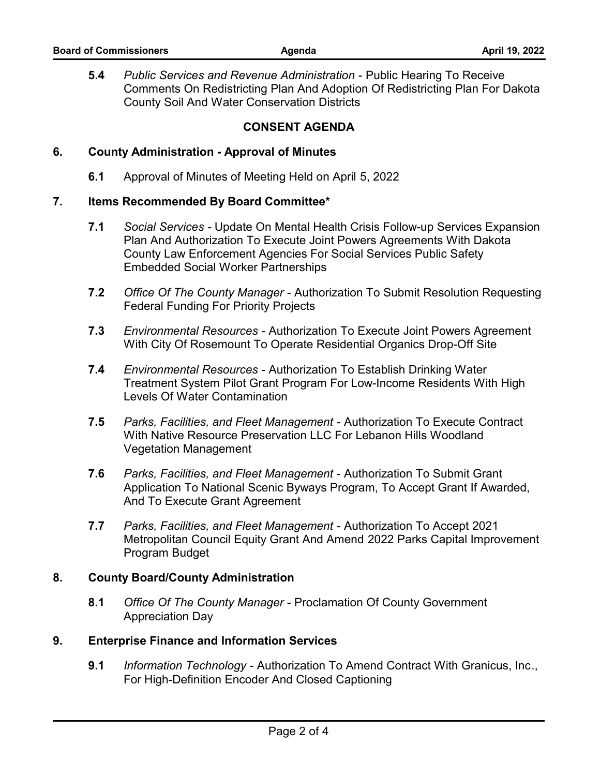**5.4** *Public Services and Revenue Administration -* Public Hearing To Receive Comments On Redistricting Plan And Adoption Of Redistricting Plan For Dakota County Soil And Water Conservation Districts

#### **CONSENT AGENDA**

#### **6. County Administration - Approval of Minutes**

**6.1** Approval of Minutes of Meeting Held on April 5, 2022

#### **7. Items Recommended By Board Committee\***

- **7.1** *Social Services* Update On Mental Health Crisis Follow-up Services Expansion Plan And Authorization To Execute Joint Powers Agreements With Dakota County Law Enforcement Agencies For Social Services Public Safety Embedded Social Worker Partnerships
- **7.2** *Office Of The County Manager* Authorization To Submit Resolution Requesting Federal Funding For Priority Projects
- **7.3** *Environmental Resources* Authorization To Execute Joint Powers Agreement With City Of Rosemount To Operate Residential Organics Drop-Off Site
- **7.4** *Environmental Resources* Authorization To Establish Drinking Water Treatment System Pilot Grant Program For Low-Income Residents With High Levels Of Water Contamination
- **7.5** *Parks, Facilities, and Fleet Management* Authorization To Execute Contract With Native Resource Preservation LLC For Lebanon Hills Woodland Vegetation Management
- **7.6** *Parks, Facilities, and Fleet Management* Authorization To Submit Grant Application To National Scenic Byways Program, To Accept Grant If Awarded, And To Execute Grant Agreement
- **7.7** *Parks, Facilities, and Fleet Management* Authorization To Accept 2021 Metropolitan Council Equity Grant And Amend 2022 Parks Capital Improvement Program Budget

### **8. County Board/County Administration**

**8.1** *Office Of The County Manager -* Proclamation Of County Government Appreciation Day

#### **9. Enterprise Finance and Information Services**

**9.1** *Information Technology -* Authorization To Amend Contract With Granicus, Inc., For High-Definition Encoder And Closed Captioning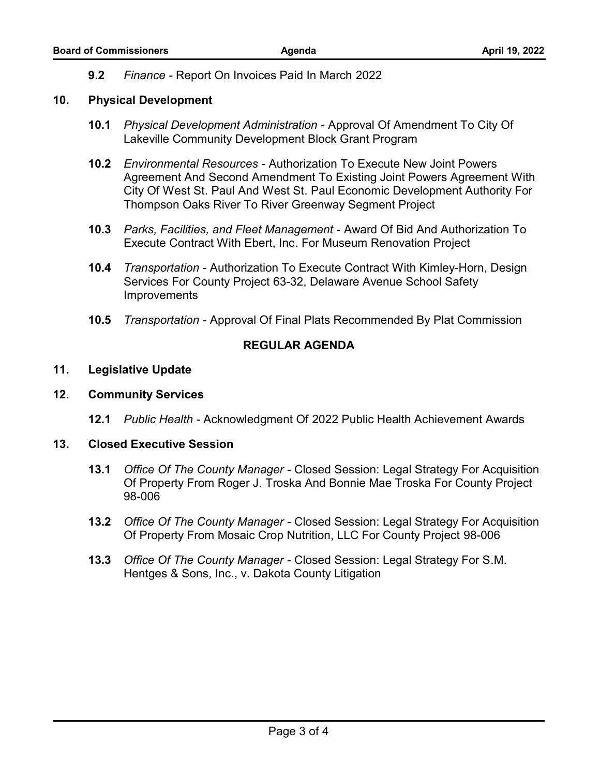**9.2** *Finance -* Report On Invoices Paid In March 2022

#### **10. Physical Development**

- **10.1** *Physical Development Administration* Approval Of Amendment To City Of Lakeville Community Development Block Grant Program
- **10.2** *Environmental Resources* Authorization To Execute New Joint Powers Agreement And Second Amendment To Existing Joint Powers Agreement With City Of West St. Paul And West St. Paul Economic Development Authority For Thompson Oaks River To River Greenway Segment Project
- **10.3** *Parks, Facilities, and Fleet Management* Award Of Bid And Authorization To Execute Contract With Ebert, Inc. For Museum Renovation Project
- **10.4** *Transportation* Authorization To Execute Contract With Kimley-Horn, Design Services For County Project 63-32, Delaware Avenue School Safety **Improvements**
- **10.5** *Transportation* Approval Of Final Plats Recommended By Plat Commission

#### **REGULAR AGENDA**

#### **11. Legislative Update**

#### **12. Community Services**

**12.1** *Public Health -* Acknowledgment Of 2022 Public Health Achievement Awards

#### **13. Closed Executive Session**

- **13.1** *Office Of The County Manager* Closed Session: Legal Strategy For Acquisition Of Property From Roger J. Troska And Bonnie Mae Troska For County Project 98-006
- **13.2** *Office Of The County Manager* Closed Session: Legal Strategy For Acquisition Of Property From Mosaic Crop Nutrition, LLC For County Project 98-006
- **13.3** *Office Of The County Manager* Closed Session: Legal Strategy For S.M. Hentges & Sons, Inc., v. Dakota County Litigation